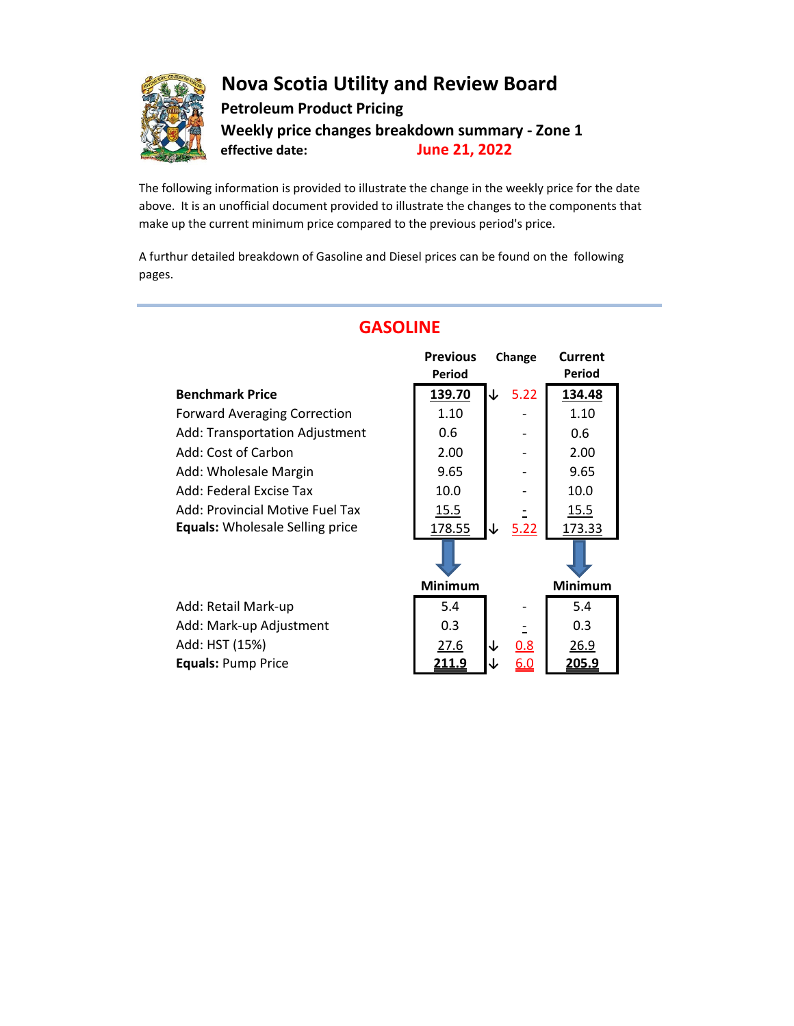

## **Nova Scotia Utility and Review Board Petroleum Product Pricing Weekly price changes breakdown summary - Zone 1 effective date: June 21, 2022**

The following information is provided to illustrate the change in the weekly price for the date above. It is an unofficial document provided to illustrate the changes to the components that make up the current minimum price compared to the previous period's price.

A furthur detailed breakdown of Gasoline and Diesel prices can be found on the following pages.

|                                        | <b>Previous</b> | Change     | Current<br>Period |
|----------------------------------------|-----------------|------------|-------------------|
|                                        | Period          |            |                   |
| <b>Benchmark Price</b>                 | 139.70          | 5.22<br>↓  | 134.48            |
| <b>Forward Averaging Correction</b>    | 1.10            |            | 1.10              |
| Add: Transportation Adjustment         | 0.6             |            | 0.6               |
| Add: Cost of Carbon                    | 2.00            |            | 2.00              |
| Add: Wholesale Margin                  | 9.65            |            | 9.65              |
| Add: Federal Excise Tax                | 10.0            |            | 10.0              |
| Add: Provincial Motive Fuel Tax        | 15.5            |            | <u>15.5</u>       |
| <b>Equals:</b> Wholesale Selling price | 178.55          | 5.22<br>↓  | 173.33            |
|                                        |                 |            |                   |
|                                        | <b>Minimum</b>  |            | <b>Minimum</b>    |
| Add: Retail Mark-up                    | 5.4             |            | 5.4               |
| Add: Mark-up Adjustment                | 0.3             |            | 0.3               |
| Add: HST (15%)                         | 27.6            | 0.8        | 26.9              |
| <b>Equals: Pump Price</b>              | <u> 211.9</u>   | <u>6.0</u> | 205.9             |

# **GASOLINE**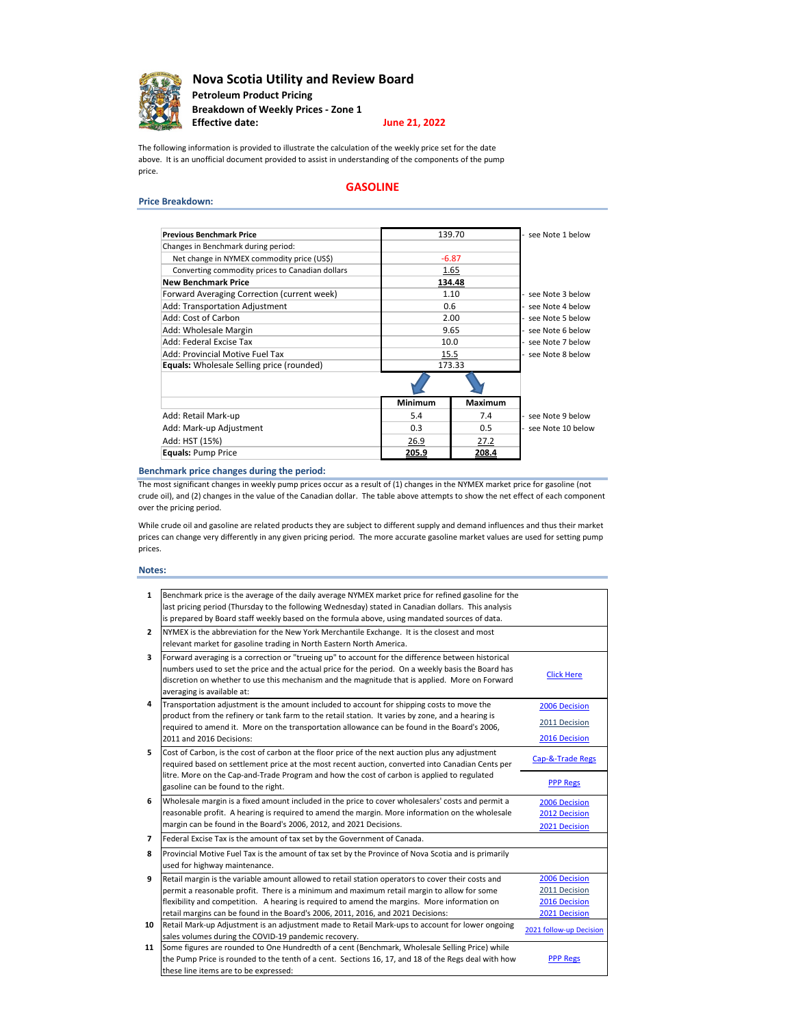

**Nova Scotia Utility and Review Board Petroleum Product Pricing Breakdown of Weekly Prices - Zone 1 Effective date:**

### **June 21, 2022**

The following information is provided to illustrate the calculation of the weekly price set for the date above. It is an unofficial document provided to assist in understanding of the components of the pump price.

### **Price Breakdown:**

### **GASOLINE**

| <b>Previous Benchmark Price</b>                 | 139.70  |         | see Note 1 below  |  |
|-------------------------------------------------|---------|---------|-------------------|--|
| Changes in Benchmark during period:             |         |         |                   |  |
| Net change in NYMEX commodity price (US\$)      | $-6.87$ |         |                   |  |
| Converting commodity prices to Canadian dollars | 1.65    |         |                   |  |
| <b>New Benchmark Price</b>                      |         | 134.48  |                   |  |
| Forward Averaging Correction (current week)     |         | 1.10    |                   |  |
| <b>Add: Transportation Adjustment</b>           |         | 0.6     |                   |  |
| Add: Cost of Carbon                             |         | 2.00    |                   |  |
| Add: Wholesale Margin                           | 9.65    |         | see Note 6 below  |  |
| Add: Federal Excise Tax                         | 10.0    |         | see Note 7 below  |  |
| Add: Provincial Motive Fuel Tax                 | 15.5    |         | see Note 8 below  |  |
| Equals: Wholesale Selling price (rounded)       | 173.33  |         |                   |  |
|                                                 |         |         |                   |  |
|                                                 | Minimum | Maximum |                   |  |
| Add: Retail Mark-up                             | 5.4     | 7.4     | see Note 9 below  |  |
| Add: Mark-up Adjustment                         | 0.3     | 0.5     | see Note 10 below |  |
| Add: HST (15%)                                  | 26.9    | 27.2    |                   |  |
| <b>Equals: Pump Price</b>                       | 205.9   | 208.4   |                   |  |

### **Benchmark price changes during the period:**

The most significant changes in weekly pump prices occur as a result of (1) changes in the NYMEX market price for gasoline (not crude oil), and (2) changes in the value of the Canadian dollar. The table above attempts to show the net effect of each component over the pricing period.

While crude oil and gasoline are related products they are subject to different supply and demand influences and thus their market prices can change very differently in any given pricing period. The more accurate gasoline market values are used for setting pump prices.

### **Notes:**

| $\mathbf{1}$   | Benchmark price is the average of the daily average NYMEX market price for refined gasoline for the |                         |
|----------------|-----------------------------------------------------------------------------------------------------|-------------------------|
|                | last pricing period (Thursday to the following Wednesday) stated in Canadian dollars. This analysis |                         |
|                | is prepared by Board staff weekly based on the formula above, using mandated sources of data.       |                         |
| $\overline{2}$ | NYMEX is the abbreviation for the New York Merchantile Exchange. It is the closest and most         |                         |
|                | relevant market for gasoline trading in North Eastern North America.                                |                         |
| 3              | Forward averaging is a correction or "trueing up" to account for the difference between historical  |                         |
|                | numbers used to set the price and the actual price for the period. On a weekly basis the Board has  |                         |
|                | discretion on whether to use this mechanism and the magnitude that is applied. More on Forward      | <b>Click Here</b>       |
|                | averaging is available at:                                                                          |                         |
| 4              | Transportation adjustment is the amount included to account for shipping costs to move the          | 2006 Decision           |
|                | product from the refinery or tank farm to the retail station. It varies by zone, and a hearing is   |                         |
|                | required to amend it. More on the transportation allowance can be found in the Board's 2006,        | 2011 Decision           |
|                | 2011 and 2016 Decisions:                                                                            | 2016 Decision           |
| 5              | Cost of Carbon, is the cost of carbon at the floor price of the next auction plus any adjustment    |                         |
|                | required based on settlement price at the most recent auction, converted into Canadian Cents per    | Cap-&-Trade Regs        |
|                | litre. More on the Cap-and-Trade Program and how the cost of carbon is applied to regulated         |                         |
|                | gasoline can be found to the right.                                                                 | <b>PPP Regs</b>         |
| 6              | Wholesale margin is a fixed amount included in the price to cover wholesalers' costs and permit a   | 2006 Decision           |
|                | reasonable profit. A hearing is required to amend the margin. More information on the wholesale     | 2012 Decision           |
|                | margin can be found in the Board's 2006, 2012, and 2021 Decisions.                                  | 2021 Decision           |
| $\overline{ }$ | Federal Excise Tax is the amount of tax set by the Government of Canada.                            |                         |
| 8              | Provincial Motive Fuel Tax is the amount of tax set by the Province of Nova Scotia and is primarily |                         |
|                | used for highway maintenance.                                                                       |                         |
| 9              | Retail margin is the variable amount allowed to retail station operators to cover their costs and   | 2006 Decision           |
|                | permit a reasonable profit. There is a minimum and maximum retail margin to allow for some          | 2011 Decision           |
|                | flexibility and competition. A hearing is required to amend the margins. More information on        | 2016 Decision           |
|                | retail margins can be found in the Board's 2006, 2011, 2016, and 2021 Decisions:                    | 2021 Decision           |
| 10             | Retail Mark-up Adjustment is an adjustment made to Retail Mark-ups to account for lower ongoing     | 2021 follow-up Decision |
|                | sales volumes during the COVID-19 pandemic recovery.                                                |                         |
| 11             | Some figures are rounded to One Hundredth of a cent (Benchmark, Wholesale Selling Price) while      |                         |
|                | the Pump Price is rounded to the tenth of a cent. Sections 16, 17, and 18 of the Regs deal with how | <b>PPP Regs</b>         |
|                | these line items are to be expressed:                                                               |                         |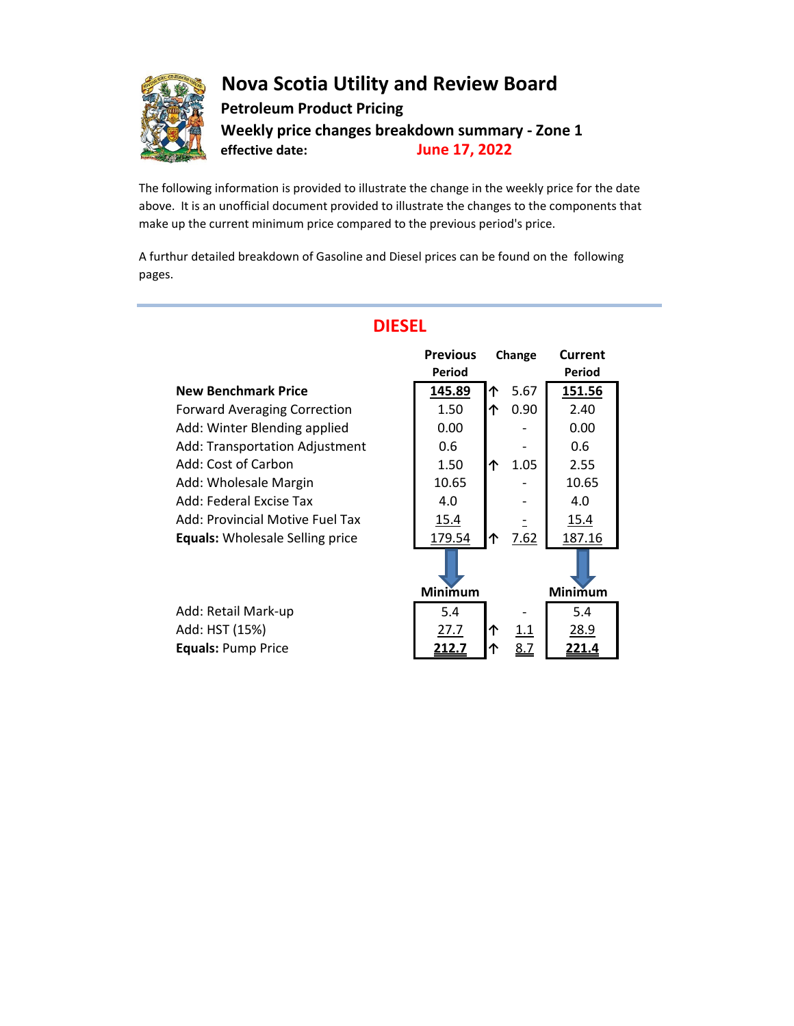

## **Nova Scotia Utility and Review Board Petroleum Product Pricing Weekly price changes breakdown summary - Zone 1 effective date: June 17, 2022**

The following information is provided to illustrate the change in the weekly price for the date above. It is an unofficial document provided to illustrate the changes to the components that make up the current minimum price compared to the previous period's price.

A furthur detailed breakdown of Gasoline and Diesel prices can be found on the following pages.

|                                        | <b>Previous</b><br>Period |   | Change     | Current<br>Period |
|----------------------------------------|---------------------------|---|------------|-------------------|
| <b>New Benchmark Price</b>             | 145.89                    | 个 | 5.67       | 151.56            |
| <b>Forward Averaging Correction</b>    | 1.50                      | 个 | 0.90       | 2.40              |
| Add: Winter Blending applied           | 0.00                      |   |            | 0.00              |
| Add: Transportation Adjustment         | 0.6                       |   |            | 0.6               |
| Add: Cost of Carbon                    | 1.50                      | 个 | 1.05       | 2.55              |
| Add: Wholesale Margin                  | 10.65                     |   |            | 10.65             |
| Add: Federal Excise Tax                | 4.0                       |   |            | 4.0               |
| Add: Provincial Motive Fuel Tax        | 15.4                      |   |            | 15.4              |
| <b>Equals:</b> Wholesale Selling price | 179.54                    | 个 | 7.62       | 187.16            |
|                                        |                           |   |            |                   |
|                                        | Minimum                   |   |            | Minimum           |
| Add: Retail Mark-up                    | 5.4                       |   |            | 5.4               |
| Add: HST (15%)                         | 27.7                      | ↑ | 1.1        | 28.9              |
| <b>Equals: Pump Price</b>              | 212.7                     | ኅ | <u>8.7</u> | 221.4             |

# **DIESEL**